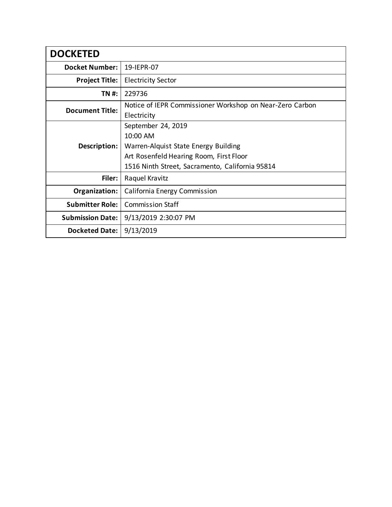| <b>DOCKETED</b>         |                                                          |
|-------------------------|----------------------------------------------------------|
| <b>Docket Number:</b>   | 19-IEPR-07                                               |
| <b>Project Title:</b>   | <b>Electricity Sector</b>                                |
| TN #:                   | 229736                                                   |
| <b>Document Title:</b>  | Notice of IEPR Commissioner Workshop on Near-Zero Carbon |
|                         | Electricity                                              |
| Description:            | September 24, 2019                                       |
|                         | 10:00 AM                                                 |
|                         | Warren-Alquist State Energy Building                     |
|                         | Art Rosenfeld Hearing Room, First Floor                  |
|                         | 1516 Ninth Street, Sacramento, California 95814          |
| Filer:                  | Raquel Kravitz                                           |
| Organization:           | California Energy Commission                             |
| <b>Submitter Role:</b>  | <b>Commission Staff</b>                                  |
| <b>Submission Date:</b> | 9/13/2019 2:30:07 PM                                     |
| <b>Docketed Date:</b>   | 9/13/2019                                                |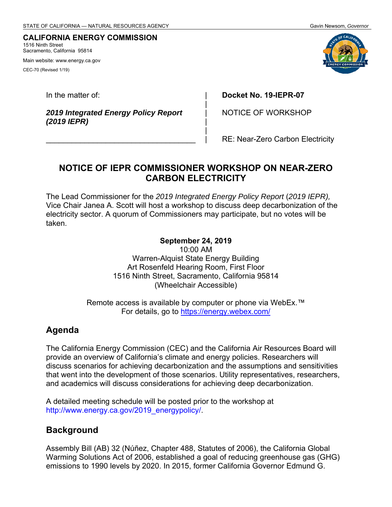#### **CALIFORNIA ENERGY COMMISSION** 1516 Ninth Street

Sacramento, California 95814

Main website: www.energy.ca.gov

CEC-70 (Revised 1/19)

In the matter of:

*2019 Integrated Energy Policy Report (2019 IEPR)* 

 $\_$ 

**Docket No. 19-IEPR-07**

NOTICE OF WORKSHOP

RE: Near-Zero Carbon Electricity

# **NOTICE OF IEPR COMMISSIONER WORKSHOP ON NEAR-ZERO CARBON ELECTRICITY**

| | | | | |

The Lead Commissioner for the *2019 Integrated Energy Policy Report* (*2019 IEPR),*  Vice Chair Janea A. Scott will host a workshop to discuss deep decarbonization of the electricity sector. A quorum of Commissioners may participate, but no votes will be taken.

#### **September 24, 2019**

10:00 AM Warren-Alquist State Energy Building Art Rosenfeld Hearing Room, First Floor 1516 Ninth Street, Sacramento, California 95814 (Wheelchair Accessible)

Remote access is available by computer or phone via WebEx.<sup>™</sup> For details, go to https://energy.webex.com/

## **Agenda**

The California Energy Commission (CEC) and the California Air Resources Board will provide an overview of California's climate and energy policies. Researchers will discuss scenarios for achieving decarbonization and the assumptions and sensitivities that went into the development of those scenarios. Utility representatives, researchers, and academics will discuss considerations for achieving deep decarbonization.

A detailed meeting schedule will be posted prior to the workshop at http://www.energy.ca.gov/2019\_energypolicy/.

## **Background**

Assembly Bill (AB) 32 (Núñez, Chapter 488, Statutes of 2006), the California Global Warming Solutions Act of 2006, established a goal of reducing greenhouse gas (GHG) emissions to 1990 levels by 2020. In 2015, former California Governor Edmund G.

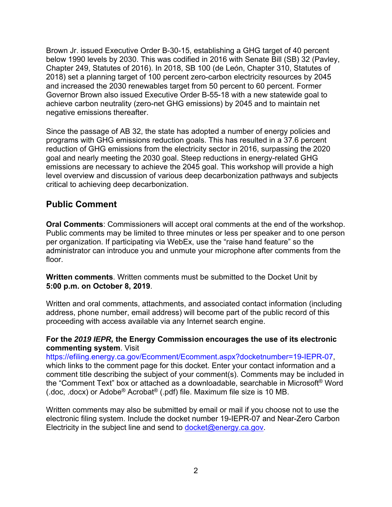Brown Jr. issued Executive Order B-30-15, establishing a GHG target of 40 percent below 1990 levels by 2030. This was codified in 2016 with Senate Bill (SB) 32 (Pavley, Chapter 249, Statutes of 2016). In 2018, SB 100 (de León, Chapter 310, Statutes of 2018) set a planning target of 100 percent zero-carbon electricity resources by 2045 and increased the 2030 renewables target from 50 percent to 60 percent. Former Governor Brown also issued Executive Order B-55-18 with a new statewide goal to achieve carbon neutrality (zero-net GHG emissions) by 2045 and to maintain net negative emissions thereafter.

Since the passage of AB 32, the state has adopted a number of energy policies and programs with GHG emissions reduction goals. This has resulted in a 37.6 percent reduction of GHG emissions from the electricity sector in 2016, surpassing the 2020 goal and nearly meeting the 2030 goal. Steep reductions in energy-related GHG emissions are necessary to achieve the 2045 goal. This workshop will provide a high level overview and discussion of various deep decarbonization pathways and subjects critical to achieving deep decarbonization.

### **Public Comment**

**Oral Comments**: Commissioners will accept oral comments at the end of the workshop. Public comments may be limited to three minutes or less per speaker and to one person per organization. If participating via WebEx, use the "raise hand feature" so the administrator can introduce you and unmute your microphone after comments from the floor.

**Written comments**. Written comments must be submitted to the Docket Unit by **5:00 p.m. on October 8, 2019**.

Written and oral comments, attachments, and associated contact information (including address, phone number, email address) will become part of the public record of this proceeding with access available via any Internet search engine.

#### **For the** *2019 IEPR,* **the Energy Commission encourages the use of its electronic commenting system**. Visit

https://efiling.energy.ca.gov/Ecomment/Ecomment.aspx?docketnumber=19-IEPR-07, which links to the comment page for this docket. Enter your contact information and a comment title describing the subject of your comment(s). Comments may be included in the "Comment Text" box or attached as a downloadable, searchable in Microsoft® Word (.doc, .docx) or Adobe® Acrobat® (.pdf) file. Maximum file size is 10 MB.

Written comments may also be submitted by email or mail if you choose not to use the electronic filing system. Include the docket number 19-IEPR-07 and Near-Zero Carbon Electricity in the subject line and send to  $docket@energy.ca.gov$ .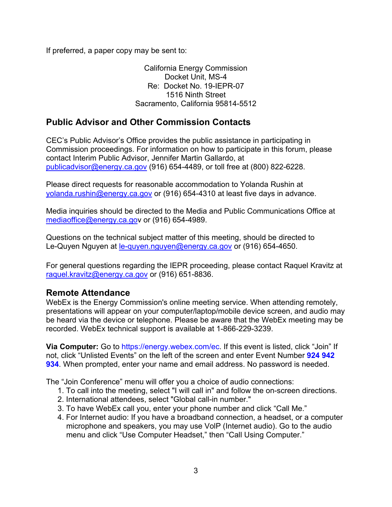If preferred, a paper copy may be sent to:

California Energy Commission Docket Unit, MS-4 Re: Docket No. 19-IEPR-07 1516 Ninth Street Sacramento, California 95814-5512

# **Public Advisor and Other Commission Contacts**

CEC's Public Advisor's Office provides the public assistance in participating in Commission proceedings. For information on how to participate in this forum, please contact Interim Public Advisor, Jennifer Martin Gallardo, at publicadvisor@energy.ca.gov (916) 654-4489, or toll free at (800) 822-6228.

Please direct requests for reasonable accommodation to Yolanda Rushin at yolanda.rushin@energy.ca.gov or (916) 654-4310 at least five days in advance.

Media inquiries should be directed to the Media and Public Communications Office at mediaoffice@energy.ca.gov or (916) 654-4989.

Questions on the technical subject matter of this meeting, should be directed to Le-Quyen Nguyen at le-quyen.nguyen@energy.ca.gov or (916) 654-4650.

For general questions regarding the IEPR proceeding, please contact Raquel Kravitz at raquel.kravitz@energy.ca.gov or (916) 651-8836.

#### **Remote Attendance**

WebEx is the Energy Commission's online meeting service. When attending remotely, presentations will appear on your computer/laptop/mobile device screen, and audio may be heard via the device or telephone. Please be aware that the WebEx meeting may be recorded. WebEx technical support is available at 1-866-229-3239.

**Via Computer:** Go to https://energy.webex.com/ec. If this event is listed, click "Join" If not, click "Unlisted Events" on the left of the screen and enter Event Number **924 942 934**. When prompted, enter your name and email address. No password is needed.

The "Join Conference" menu will offer you a choice of audio connections:

- 1. To call into the meeting, select "I will call in" and follow the on-screen directions.
- 2. International attendees, select "Global call-in number."
- 3. To have WebEx call you, enter your phone number and click "Call Me."
- 4. For Internet audio: If you have a broadband connection, a headset, or a computer microphone and speakers, you may use VolP (Internet audio). Go to the audio menu and click "Use Computer Headset," then "Call Using Computer."